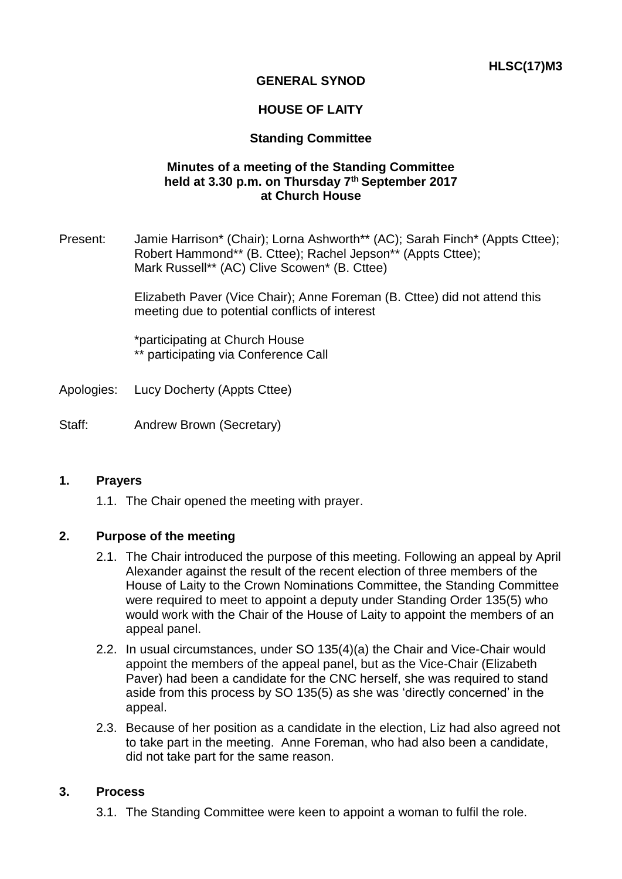# **GENERAL SYNOD**

## **HOUSE OF LAITY**

### **Standing Committee**

### **Minutes of a meeting of the Standing Committee held at 3.30 p.m. on Thursday 7th September 2017 at Church House**

Present: Jamie Harrison\* (Chair); Lorna Ashworth\*\* (AC); Sarah Finch\* (Appts Cttee); Robert Hammond\*\* (B. Cttee); Rachel Jepson\*\* (Appts Cttee); Mark Russell\*\* (AC) Clive Scowen\* (B. Cttee)

> Elizabeth Paver (Vice Chair); Anne Foreman (B. Cttee) did not attend this meeting due to potential conflicts of interest

\*participating at Church House \*\* participating via Conference Call

- Apologies: Lucy Docherty (Appts Cttee)
- Staff: Andrew Brown (Secretary)

#### **1. Prayers**

1.1. The Chair opened the meeting with prayer.

### **2. Purpose of the meeting**

- 2.1. The Chair introduced the purpose of this meeting. Following an appeal by April Alexander against the result of the recent election of three members of the House of Laity to the Crown Nominations Committee, the Standing Committee were required to meet to appoint a deputy under Standing Order 135(5) who would work with the Chair of the House of Laity to appoint the members of an appeal panel.
- 2.2. In usual circumstances, under SO 135(4)(a) the Chair and Vice-Chair would appoint the members of the appeal panel, but as the Vice-Chair (Elizabeth Paver) had been a candidate for the CNC herself, she was required to stand aside from this process by SO 135(5) as she was 'directly concerned' in the appeal.
- 2.3. Because of her position as a candidate in the election, Liz had also agreed not to take part in the meeting. Anne Foreman, who had also been a candidate, did not take part for the same reason.

#### **3. Process**

3.1. The Standing Committee were keen to appoint a woman to fulfil the role.